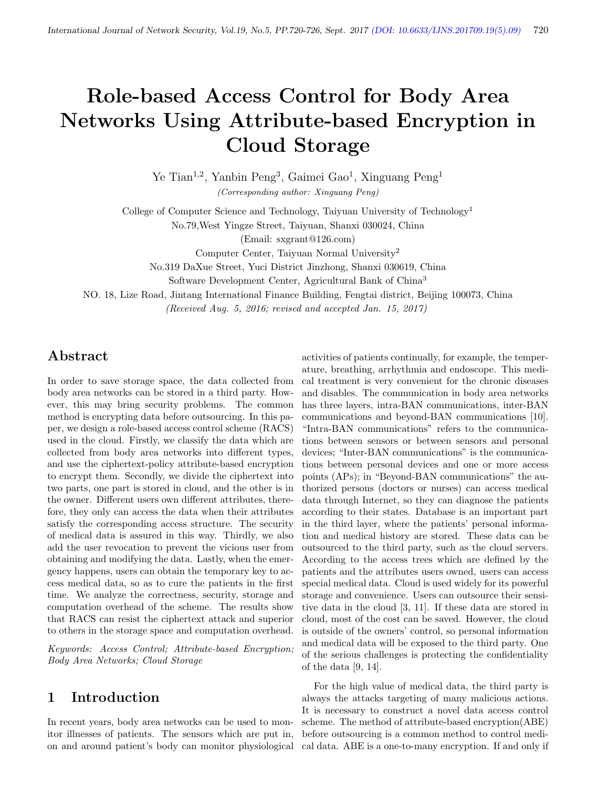# Role-based Access Control for Body Area Networks Using Attribute-based Encryption in Cloud Storage

Ye Tian<sup>1,2</sup>, Yanbin Peng<sup>3</sup>, Gaimei Gao<sup>1</sup>, Xinguang Peng<sup>1</sup> (Corresponding author: Xinguang Peng)

College of Computer Science and Technology, Taiyuan University of Technology<sup>1</sup>

No.79,West Yingze Street, Taiyuan, Shanxi 030024, China

(Email: sxgrant@126.com)

Computer Center, Taiyuan Normal University<sup>2</sup>

No.319 DaXue Street, Yuci District Jinzhong, Shanxi 030619, China

Software Development Center, Agricultural Bank of China<sup>3</sup>

NO. 18, Lize Road, Jintang International Finance Building, Fengtai district, Beijing 100073, China

(Received Aug. 5, 2016; revised and accepted Jan. 15, 2017)

# Abstract

In order to save storage space, the data collected from body area networks can be stored in a third party. However, this may bring security problems. The common method is encrypting data before outsourcing. In this paper, we design a role-based access control scheme (RACS) used in the cloud. Firstly, we classify the data which are collected from body area networks into different types, and use the ciphertext-policy attribute-based encryption to encrypt them. Secondly, we divide the ciphertext into two parts, one part is stored in cloud, and the other is in the owner. Different users own different attributes, therefore, they only can access the data when their attributes satisfy the corresponding access structure. The security of medical data is assured in this way. Thirdly, we also add the user revocation to prevent the vicious user from obtaining and modifying the data. Lastly, when the emergency happens, users can obtain the temporary key to access medical data, so as to cure the patients in the first time. We analyze the correctness, security, storage and computation overhead of the scheme. The results show that RACS can resist the ciphertext attack and superior to others in the storage space and computation overhead.

Keywords: Access Control; Attribute-based Encryption; Body Area Networks; Cloud Storage

# 1 Introduction

In recent years, body area networks can be used to monitor illnesses of patients. The sensors which are put in, on and around patient's body can monitor physiological

activities of patients continually, for example, the temperature, breathing, arrhythmia and endoscope. This medical treatment is very convenient for the chronic diseases and disables. The communication in body area networks has three layers, intra-BAN communications, inter-BAN communications and beyond-BAN communications [10]. "Intra-BAN communications" refers to the communications between sensors or between sensors and personal devices; "Inter-BAN communications" is the communications between personal devices and one or more access points (APs); in "Beyond-BAN communications" the authorized persons (doctors or nurses) can access medical data through Internet, so they can diagnose the patients according to their states. Database is an important part in the third layer, where the patients' personal information and medical history are stored. These data can be outsourced to the third party, such as the cloud servers. According to the access trees which are defined by the patients and the attributes users owned, users can access special medical data. Cloud is used widely for its powerful storage and convenience. Users can outsource their sensitive data in the cloud [3, 11]. If these data are stored in cloud, most of the cost can be saved. However, the cloud is outside of the owners' control, so personal information and medical data will be exposed to the third party. One of the serious challenges is protecting the confidentiality of the data [9, 14].

For the high value of medical data, the third party is always the attacks targeting of many malicious actions. It is necessary to construct a novel data access control scheme. The method of attribute-based encryption(ABE) before outsourcing is a common method to control medical data. ABE is a one-to-many encryption. If and only if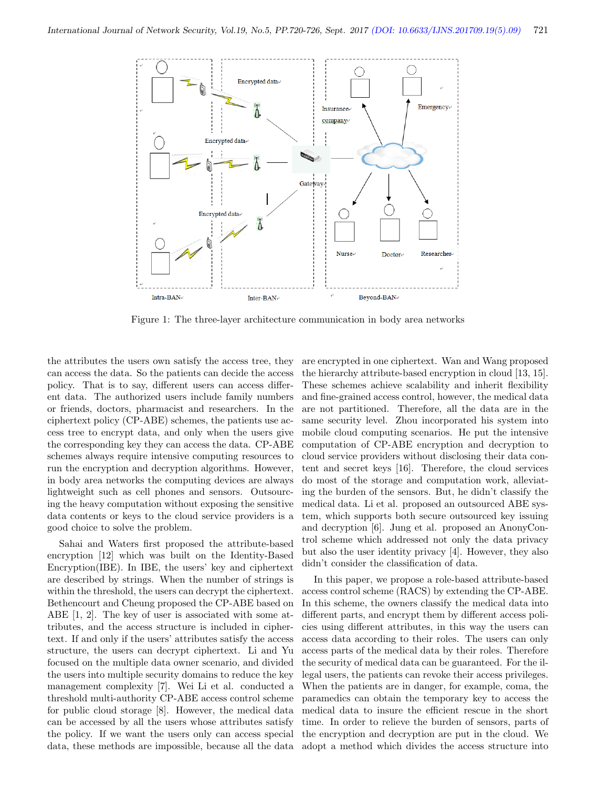

Figure 1: The three-layer architecture communication in body area networks

the attributes the users own satisfy the access tree, they can access the data. So the patients can decide the access policy. That is to say, different users can access different data. The authorized users include family numbers or friends, doctors, pharmacist and researchers. In the ciphertext policy (CP-ABE) schemes, the patients use access tree to encrypt data, and only when the users give the corresponding key they can access the data. CP-ABE schemes always require intensive computing resources to run the encryption and decryption algorithms. However, in body area networks the computing devices are always lightweight such as cell phones and sensors. Outsourcing the heavy computation without exposing the sensitive data contents or keys to the cloud service providers is a good choice to solve the problem.

Sahai and Waters first proposed the attribute-based encryption [12] which was built on the Identity-Based Encryption(IBE). In IBE, the users' key and ciphertext are described by strings. When the number of strings is within the threshold, the users can decrypt the ciphertext. Bethencourt and Cheung proposed the CP-ABE based on ABE [1, 2]. The key of user is associated with some attributes, and the access structure is included in ciphertext. If and only if the users' attributes satisfy the access structure, the users can decrypt ciphertext. Li and Yu focused on the multiple data owner scenario, and divided the users into multiple security domains to reduce the key management complexity [7]. Wei Li et al. conducted a threshold multi-authority CP-ABE access control scheme for public cloud storage [8]. However, the medical data can be accessed by all the users whose attributes satisfy the policy. If we want the users only can access special data, these methods are impossible, because all the data

are encrypted in one ciphertext. Wan and Wang proposed the hierarchy attribute-based encryption in cloud [13, 15]. These schemes achieve scalability and inherit flexibility and fine-grained access control, however, the medical data are not partitioned. Therefore, all the data are in the same security level. Zhou incorporated his system into mobile cloud computing scenarios. He put the intensive computation of CP-ABE encryption and decryption to cloud service providers without disclosing their data content and secret keys [16]. Therefore, the cloud services do most of the storage and computation work, alleviating the burden of the sensors. But, he didn't classify the medical data. Li et al. proposed an outsourced ABE system, which supports both secure outsourced key issuing and decryption [6]. Jung et al. proposed an AnonyControl scheme which addressed not only the data privacy but also the user identity privacy [4]. However, they also didn't consider the classification of data.

In this paper, we propose a role-based attribute-based access control scheme (RACS) by extending the CP-ABE. In this scheme, the owners classify the medical data into different parts, and encrypt them by different access policies using different attributes, in this way the users can access data according to their roles. The users can only access parts of the medical data by their roles. Therefore the security of medical data can be guaranteed. For the illegal users, the patients can revoke their access privileges. When the patients are in danger, for example, coma, the paramedics can obtain the temporary key to access the medical data to insure the efficient rescue in the short time. In order to relieve the burden of sensors, parts of the encryption and decryption are put in the cloud. We adopt a method which divides the access structure into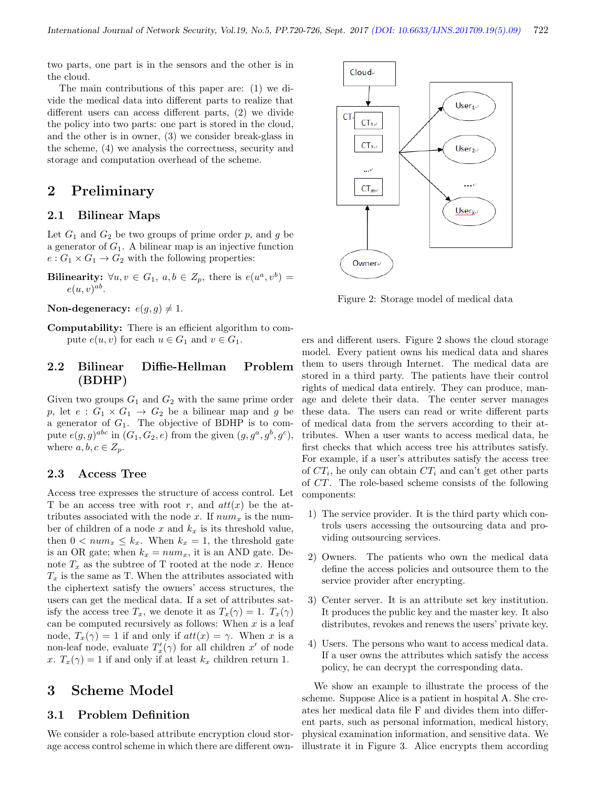two parts, one part is in the sensors and the other is in the cloud.

The main contributions of this paper are: (1) we divide the medical data into different parts to realize that different users can access different parts, (2) we divide the policy into two parts: one part is stored in the cloud, and the other is in owner, (3) we consider break-glass in the scheme, (4) we analysis the correctness, security and storage and computation overhead of the scheme.

## 2 Preliminary

### 2.1 Bilinear Maps

Let  $G_1$  and  $G_2$  be two groups of prime order p, and g be a generator of  $G_1$ . A bilinear map is an injective function  $e: G_1 \times G_1 \rightarrow G_2$  with the following properties:

**Bilinearity:**  $\forall u, v \in G_1, a, b \in Z_p$ , there is  $e(u^a, v^b) =$  $e(u, v)^{ab}$ .

Non-degeneracy:  $e(g, g) \neq 1$ .

Computability: There is an efficient algorithm to compute  $e(u, v)$  for each  $u \in G_1$  and  $v \in G_1$ .

### 2.2 Bilinear Diffie-Hellman Problem (BDHP)

Given two groups  $G_1$  and  $G_2$  with the same prime order p, let  $e: G_1 \times G_1 \rightarrow G_2$  be a bilinear map and g be a generator of  $G_1$ . The objective of BDHP is to compute  $e(g, g)^{abc}$  in  $(G_1, G_2, e)$  from the given  $(g, g^a, g^b, g^c)$ , where  $a, b, c \in Z_n$ .

### 2.3 Access Tree

Access tree expresses the structure of access control. Let T be an access tree with root r, and  $att(x)$  be the attributes associated with the node x. If  $num<sub>x</sub>$  is the number of children of a node  $x$  and  $k_x$  is its threshold value, then  $0 < num_x \leq k_x$ . When  $k_x = 1$ , the threshold gate is an OR gate; when  $k_x = num_x$ , it is an AND gate. Denote  $T_x$  as the subtree of T rooted at the node x. Hence  $T_x$  is the same as T. When the attributes associated with the ciphertext satisfy the owners' access structures, the users can get the medical data. If a set of attributes satisfy the access tree  $T_x$ , we denote it as  $T_x(\gamma) = 1$ .  $T_x(\gamma)$ can be computed recursively as follows: When  $x$  is a leaf node,  $T_x(\gamma) = 1$  if and only if  $\det(x) = \gamma$ . When x is a non-leaf node, evaluate  $T'_x(\gamma)$  for all children  $x'$  of node x.  $T_x(\gamma) = 1$  if and only if at least  $k_x$  children return 1.

### 3 Scheme Model

### 3.1 Problem Definition

We consider a role-based attribute encryption cloud storage access control scheme in which there are different own-



Figure 2: Storage model of medical data

ers and different users. Figure 2 shows the cloud storage model. Every patient owns his medical data and shares them to users through Internet. The medical data are stored in a third party. The patients have their control rights of medical data entirely. They can produce, manage and delete their data. The center server manages these data. The users can read or write different parts of medical data from the servers according to their attributes. When a user wants to access medical data, he first checks that which access tree his attributes satisfy. For example, if a user's attributes satisfy the access tree of  $CT_i$ , he only can obtain  $CT_i$  and can't get other parts of CT. The role-based scheme consists of the following components:

- 1) The service provider. It is the third party which controls users accessing the outsourcing data and providing outsourcing services.
- 2) Owners. The patients who own the medical data define the access policies and outsource them to the service provider after encrypting.
- 3) Center server. It is an attribute set key institution. It produces the public key and the master key. It also distributes, revokes and renews the users' private key.
- 4) Users. The persons who want to access medical data. If a user owns the attributes which satisfy the access policy, he can decrypt the corresponding data.

We show an example to illustrate the process of the scheme. Suppose Alice is a patient in hospital A. She creates her medical data file F and divides them into different parts, such as personal information, medical history, physical examination information, and sensitive data. We illustrate it in Figure 3. Alice encrypts them according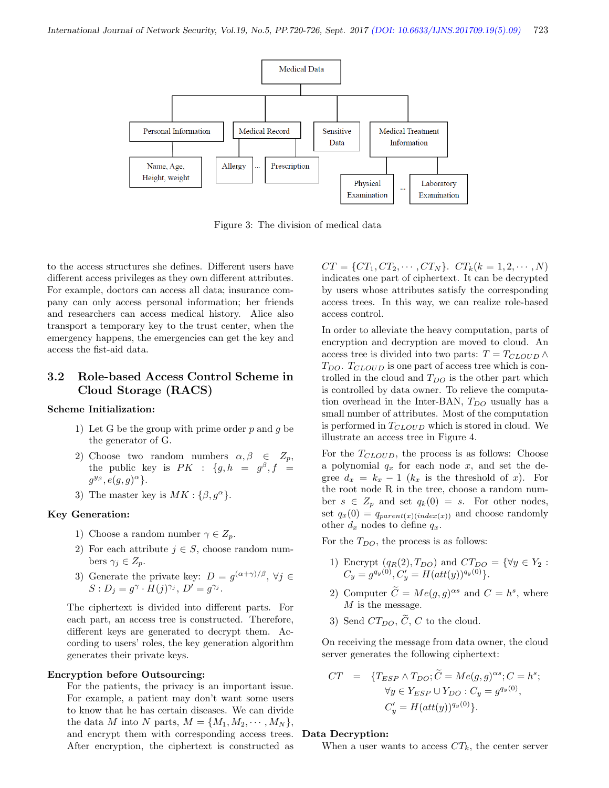

Figure 3: The division of medical data

to the access structures she defines. Different users have different access privileges as they own different attributes. For example, doctors can access all data; insurance company can only access personal information; her friends and researchers can access medical history. Alice also transport a temporary key to the trust center, when the emergency happens, the emergencies can get the key and access the fist-aid data.

### 3.2 Role-based Access Control Scheme in Cloud Storage (RACS)

#### Scheme Initialization:

- 1) Let G be the group with prime order  $p$  and  $q$  be the generator of G.
- 2) Choose two random numbers  $\alpha, \beta \in Z_n$ , the public key is  $PK$  :  $\{g, h = g^{\beta}, f =$  $g^{y_{\beta}}, e(g, g)^{\alpha}$ .
- 3) The master key is  $MK : \{\beta, g^{\alpha}\}.$

#### Key Generation:

- 1) Choose a random number  $\gamma \in Z_p$ .
- 2) For each attribute  $j \in S$ , choose random numbers  $\gamma_i \in Z_p$ .
- 3) Generate the private key:  $D = g^{(\alpha + \gamma)/\beta}, \forall j \in$  $S: D_j = g^{\gamma} \cdot H(j)^{\gamma_j}, D' = g^{\gamma_j}.$

The ciphertext is divided into different parts. For each part, an access tree is constructed. Therefore, different keys are generated to decrypt them. According to users' roles, the key generation algorithm generates their private keys.

#### Encryption before Outsourcing:

For the patients, the privacy is an important issue. For example, a patient may don't want some users to know that he has certain diseases. We can divide the data M into N parts,  $M = \{M_1, M_2, \cdots, M_N\},\$ and encrypt them with corresponding access trees. After encryption, the ciphertext is constructed as

 $CT = \{CT_1, CT_2, \cdots, CT_N\}. \quad CT_k(k = 1, 2, \cdots, N)$ indicates one part of ciphertext. It can be decrypted by users whose attributes satisfy the corresponding access trees. In this way, we can realize role-based access control.

In order to alleviate the heavy computation, parts of encryption and decryption are moved to cloud. An access tree is divided into two parts:  $T = T_{CLOUD} \wedge$  $T_{DO}$ .  $T_{CLOUD}$  is one part of access tree which is controlled in the cloud and  $T_{DO}$  is the other part which is controlled by data owner. To relieve the computation overhead in the Inter-BAN,  $T_{DO}$  usually has a small number of attributes. Most of the computation is performed in  $T_{CLOUD}$  which is stored in cloud. We illustrate an access tree in Figure 4.

For the  $T_{CLOUD}$ , the process is as follows: Choose a polynomial  $q_x$  for each node x, and set the degree  $d_x = k_x - 1$  ( $k_x$  is the threshold of x). For the root node R in the tree, choose a random number  $s \in Z_p$  and set  $q_k(0) = s$ . For other nodes, set  $q_x(0) = q_{parent(x)(index(x))}$  and choose randomly other  $d_x$  nodes to define  $q_x$ .

For the  $T_{DO}$ , the process is as follows:

- 1) Encrypt  $(q_R(2), T_{DO})$  and  $CT_{DO} = {\forall y \in Y_2 :$  $C_y = g^{q_y(0)}, C'_y = H(att(y))^{q_y(0)}\}.$
- 2) Computer  $\hat{C} = Me(g, g)^{\alpha s}$  and  $C = h^s$ , where  $M$  is the message.
- 3) Send  $CT_{DO}$ ,  $\tilde{C}$ , C to the cloud.

On receiving the message from data owner, the cloud server generates the following ciphertext:

$$
CT = \{T_{ESP} \wedge T_{DO}; \widetilde{C} = Me(g, g)^{\alpha s}; C = h^{s};
$$
  
\n
$$
\forall y \in Y_{ESP} \cup Y_{DO} : C_y = g^{q_y(0)},
$$
  
\n
$$
C'_y = H(att(y))^{q_y(0)}\}.
$$

#### Data Decryption:

When a user wants to access  $CT_k$ , the center server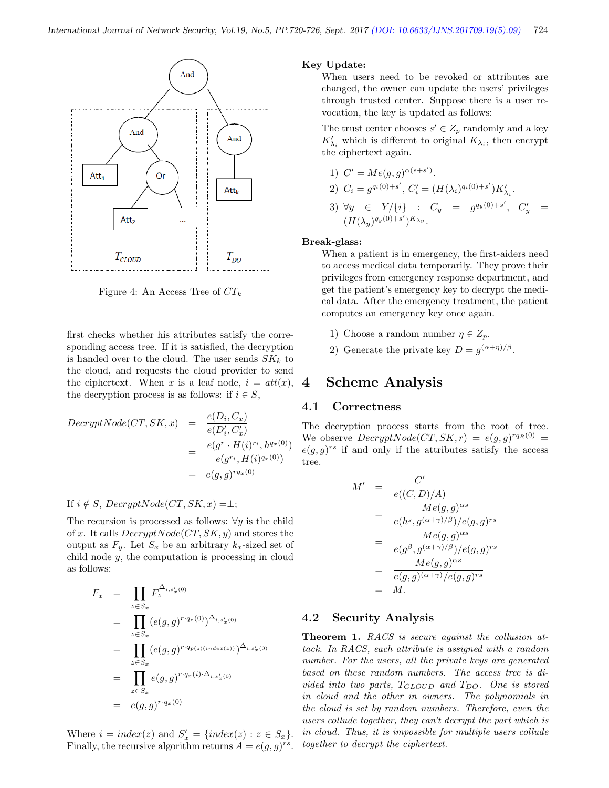

Figure 4: An Access Tree of  $CT_k$ 

first checks whether his attributes satisfy the corresponding access tree. If it is satisfied, the decryption is handed over to the cloud. The user sends  $SK_k$  to the cloud, and requests the cloud provider to send the ciphertext. When x is a leaf node,  $i = att(x)$ , the decryption process is as follows: if  $i \in S$ ,

$$
DecryptNode(CT, SK, x) = \frac{e(D_i, C_x)}{e(D_i', C_x')}
$$
  
= 
$$
\frac{e(g^r \cdot H(i)^{r_i}, h^{q_x(0)})}{e(g^{r_i}, H(i)^{q_x(0)})}
$$
  
= 
$$
e(g, g)^{r q_x(0)}
$$

#### If  $i \notin S$ ,  $DecryptNode(CT, SK, x) = \perp;$

The recursion is processed as follows:  $\forall y$  is the child of x. It calls  $DecryptNode(CT, SK, y)$  and stores the output as  $F_y$ . Let  $S_x$  be an arbitrary  $k_x$ -sized set of child node y, the computation is processing in cloud as follows:

$$
F_x = \prod_{z \in S_x} F_z^{\Delta_{i,s'_x(0)}}
$$
  
= 
$$
\prod_{z \in S_x} (e(g,g)^{r \cdot q_z(0)})^{\Delta_{i,s'_x(0)}}
$$
  
= 
$$
\prod_{z \in S_x} (e(g,g)^{r \cdot q_{p(z)(index(z))}})^{\Delta_{i,s'_x(0)}}
$$
  
= 
$$
\prod_{z \in S_x} e(g,g)^{r \cdot q_x(i) \cdot \Delta_{i,s'_x(0)}}
$$
  
= 
$$
e(g,g)^{r \cdot q_x(0)}
$$

Where  $i = index(z)$  and  $S'_x = \{index(z) : z \in S_x\}.$ Finally, the recursive algorithm returns  $A = e(g, g)^{rs}$ .

#### Key Update:

When users need to be revoked or attributes are changed, the owner can update the users' privileges through trusted center. Suppose there is a user revocation, the key is updated as follows:

The trust center chooses  $s' \in Z_p$  randomly and a key  $K'_{\lambda_i}$  which is different to original  $K_{\lambda_i}$ , then encrypt the ciphertext again.

1) 
$$
C' = Me(g, g)^{\alpha(s+s')}
$$
.  
\n2)  $C_i = g^{q_i(0)+s'}, C'_i = (H(\lambda_i)^{q_i(0)+s'})K'_{\lambda_i}$ .  
\n3)  $\forall y \in Y/\{i\}$ :  $C_y = g^{q_y(0)+s'}, C'_y = (H(\lambda_y)^{q_y(0)+s'})^{K_{\lambda_y}}$ .

#### Break-glass:

When a patient is in emergency, the first-aiders need to access medical data temporarily. They prove their privileges from emergency response department, and get the patient's emergency key to decrypt the medical data. After the emergency treatment, the patient computes an emergency key once again.

- 1) Choose a random number  $\eta \in Z_p$ .
- 2) Generate the private key  $D = g^{(\alpha + \eta)/\beta}$ .

### 4 Scheme Analysis

#### 4.1 Correctness

The decryption process starts from the root of tree. We observe  $DecryptNode(CT, SK, r) = e(g, g)^{rq_R(0)} =$  $e(g, g)^{rs}$  if and only if the attributes satisfy the access tree.

$$
M' = \frac{C'}{e((C, D)/A)}
$$
  
= 
$$
\frac{Me(g, g)^{\alpha s}}{e(h^{s}, g^{(\alpha+\gamma)/\beta})/e(g, g)^{rs}}
$$
  
= 
$$
\frac{Me(g, g)^{\alpha s}}{e(g^{\beta}, g^{(\alpha+\gamma)/\beta})/e(g, g)^{rs}}
$$
  
= 
$$
\frac{Me(g, g)^{\alpha s}}{e(g, g)^{(\alpha+\gamma)}/e(g, g)^{rs}}
$$
  
= M.

#### 4.2 Security Analysis

Theorem 1. RACS is secure against the collusion attack. In RACS, each attribute is assigned with a random number. For the users, all the private keys are generated based on these random numbers. The access tree is divided into two parts,  $T_{CLOUD}$  and  $T_{DO}$ . One is stored in cloud and the other in owners. The polynomials in the cloud is set by random numbers. Therefore, even the users collude together, they can't decrypt the part which is in cloud. Thus, it is impossible for multiple users collude together to decrypt the ciphertext.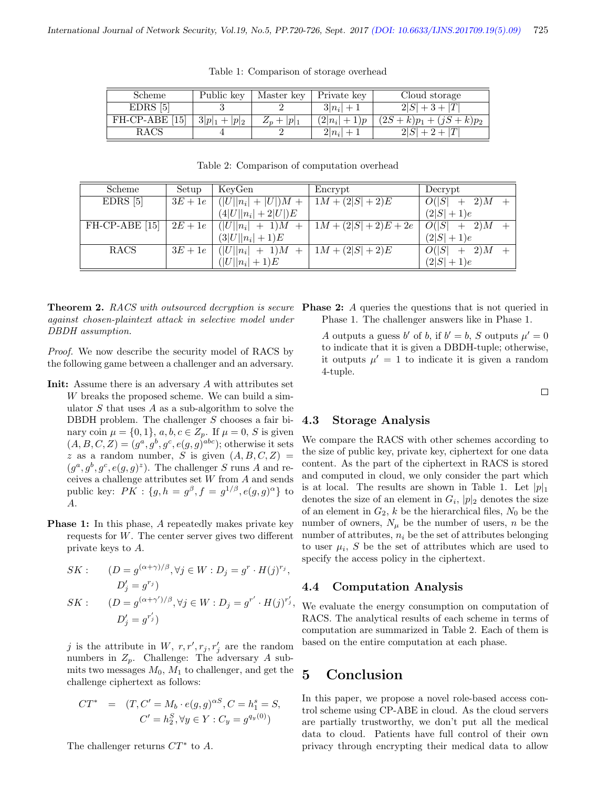| Scheme            | Public key            | Master key    | Private key        | Cloud storage           |
|-------------------|-----------------------|---------------|--------------------|-------------------------|
| $EDRS$ [5]        |                       |               | $3 n_i  + 1$       | $2 S +3+ T $            |
| $FH$ -CP-ABE [15] | $3 p _1 +$<br>$ p _2$ | $Z_p +  p _1$ | $2 n_i $<br>$+1)p$ | $(2S+k)p_1 + (jS+k)p_2$ |
| RACS              |                       |               | $2 n_i $           |                         |

Table 1: Comparison of storage overhead

| Scheme            | Setup     | KeyGen                     | Encrypt                    | Decrypt                |
|-------------------|-----------|----------------------------|----------------------------|------------------------|
| $EDRS$ [5]        | $3E+1e$   | $( U  n_i  +  U )M +$      | $\boxed{1M + (2 S  + 2)E}$ | $O( S  + 2)M +$        |
|                   |           | $(4 U  n_i  + 2 U )E$      |                            | $(2 S +1)e$            |
| $FH$ -CP-ABE [15] | $2E + 1e$ | $( U  n_i  + 1)M +$        | $1M + (2 S  + 2)E + 2e$    | O( S )<br>$+$ 2) $M$ + |
|                   |           | $(3 U  n_i  + 1)E$         |                            | $(2 S +1)e$            |
| <b>RACS</b>       | $3E+1e$   | $+1$ ) $M$<br>$( U  n_i )$ | $1M + (2 S  + 2)E$         | O( S )<br>2)M          |
|                   |           | $( U  n_i  + 1)E$          |                            | $(2 S +1)e$            |

Table 2: Comparison of computation overhead

**Theorem 2.** RACS with outsourced decryption is secure Phase 2: A queries the questions that is not queried in against chosen-plaintext attack in selective model under DBDH assumption.

Proof. We now describe the security model of RACS by the following game between a challenger and an adversary.

- Init: Assume there is an adversary A with attributes set W breaks the proposed scheme. We can build a simulator  $S$  that uses  $A$  as a sub-algorithm to solve the DBDH problem. The challenger  $S$  chooses a fair binary coin  $\mu = \{0, 1\}, a, b, c \in Z_p$ . If  $\mu = 0, S$  is given  $(A, B, C, Z) = (g^a, g^b, g^c, e(g, g)^{abc})$ ; otherwise it sets z as a random number, S is given  $(A, B, C, Z)$  =  $(g^a, g^b, g^c, e(g, g)^z)$ . The challenger S runs A and receives a challenge attributes set  $W$  from  $A$  and sends public key:  $PK: \{g, h = g^{\beta}, f = g^{1/\beta}, e(g, g)^{\alpha}\}\)$  to A.
- **Phase 1:** In this phase, A repeatedly makes private key requests for  $W$ . The center server gives two different private keys to A.

$$
SK: \t(D = g^{(\alpha + \gamma)/\beta}, \forall j \in W : D_j = g^r \cdot H(j)^{r_j},
$$
  
\n
$$
D'_j = g^{r_j})
$$
  
\n
$$
SK: \t(D = g^{(\alpha + \gamma')/\beta}, \forall j \in W : D_j = g^{r'} \cdot H(j)^{r'_j},
$$
  
\n
$$
D'_j = g^{r'_j})
$$

j is the attribute in W,  $r, r', r_j, r'_j$  are the random numbers in  $Z_p$ . Challenge: The adversary A submits two messages  $M_0$ ,  $M_1$  to challenger, and get the challenge ciphertext as follows:

$$
CT^* = (T, C' = M_b \cdot e(g, g)^{\alpha S}, C = h_1^s = S,
$$
  

$$
C' = h_2^S, \forall y \in Y : C_y = g^{q_y(0)}
$$

The challenger returns  $CT^*$  to A.

Phase 1. The challenger answers like in Phase 1.

A outputs a guess b' of b, if  $b' = b$ , S outputs  $\mu' = 0$ to indicate that it is given a DBDH-tuple; otherwise, it outputs  $\mu' = 1$  to indicate it is given a random 4-tuple.

 $\Box$ 

### 4.3 Storage Analysis

We compare the RACS with other schemes according to the size of public key, private key, ciphertext for one data content. As the part of the ciphertext in RACS is stored and computed in cloud, we only consider the part which is at local. The results are shown in Table 1. Let  $|p|_1$ denotes the size of an element in  $G_i$ ,  $|p|_2$  denotes the size of an element in  $G_2$ , k be the hierarchical files,  $N_0$  be the number of owners,  $N_{\mu}$  be the number of users, n be the number of attributes,  $n_i$  be the set of attributes belonging to user  $\mu_i$ , S be the set of attributes which are used to specify the access policy in the ciphertext.

#### 4.4 Computation Analysis

We evaluate the energy consumption on computation of RACS. The analytical results of each scheme in terms of computation are summarized in Table 2. Each of them is based on the entire computation at each phase.

# 5 Conclusion

In this paper, we propose a novel role-based access control scheme using CP-ABE in cloud. As the cloud servers are partially trustworthy, we don't put all the medical data to cloud. Patients have full control of their own privacy through encrypting their medical data to allow